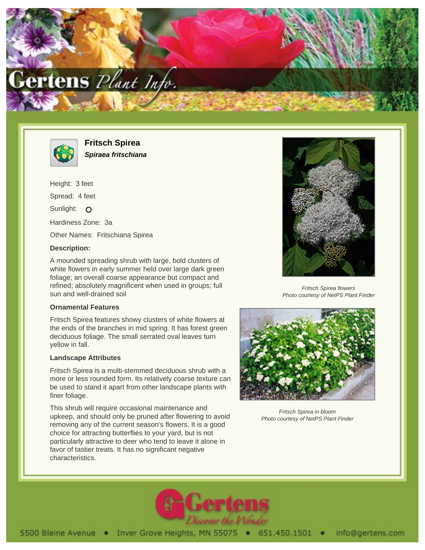



**Fritsch Spirea Spiraea fritschiana**

Height: 3 feet Spread: 4 feet Sunlight: O Hardiness Zone: 3a Other Names: Fritschiana Spirea

## **Description:**

A mounded spreading shrub with large, bold clusters of white flowers in early summer held over large dark green foliage; an overall coarse appearance but compact and refined; absolutely magnificent when used in groups; full sun and well-drained soil

## **Ornamental Features**

Fritsch Spirea features showy clusters of white flowers at the ends of the branches in mid spring. It has forest green deciduous foliage. The small serrated oval leaves turn yellow in fall.

## **Landscape Attributes**

Fritsch Spirea is a multi-stemmed deciduous shrub with a more or less rounded form. Its relatively coarse texture can be used to stand it apart from other landscape plants with finer foliage.

This shrub will require occasional maintenance and upkeep, and should only be pruned after flowering to avoid removing any of the current season's flowers. It is a good choice for attracting butterflies to your yard, but is not particularly attractive to deer who tend to leave it alone in favor of tastier treats. It has no significant negative characteristics.



Fritsch Spirea flowers Photo courtesy of NetPS Plant Finder



Fritsch Spirea in bloom Photo courtesy of NetPS Plant Finder